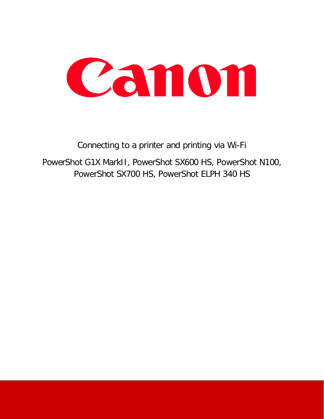

## Connecting to a printer and printing via Wi-Fi PowerShot G1X MarkII, PowerShot SX600 HS, PowerShot N100, PowerShot SX700 HS, PowerShot ELPH 340 HS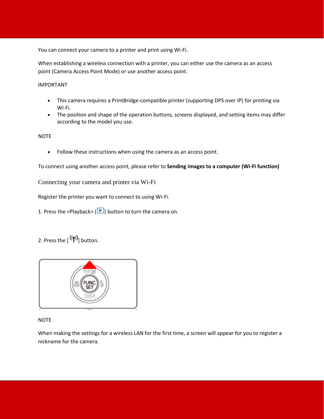You can connect your camera to a printer and print using Wi-Fi.

When establishing a wireless connection with a printer, you can either use the camera as an access point (Camera Access Point Mode) or use another access point.

IMPORTANT

- This camera requires a PrintBridge-compatible printer (supporting DPS over IP) for printing via Wi-Fi.
- The position and shape of the operation buttons, screens displayed, and setting items may differ according to the model you use.

**NOTE** 

• Follow these instructions when using the camera as an access point.

To connect using another access point, please refer to **Sending images to a computer (Wi-Fi function)**

Connecting your camera and printer via Wi-Fi

Register the printer you want to connect to using Wi-Fi.

- 1. Press the <Playback> ( $\Box$ ) button to turn the camera on.
- 2. Press the  $[$ <sup>(( $\uparrow$ )</sup>) button.



## **NOTE**

When making the settings for a wireless LAN for the first time, a screen will appear for you to register a nickname for the camera.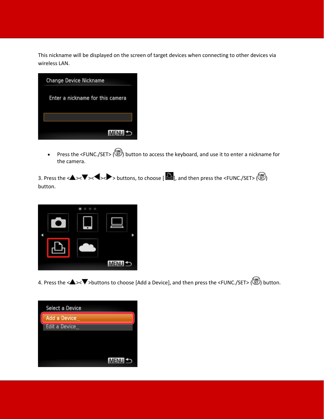This nickname will be displayed on the screen of target devices when connecting to other devices via wireless LAN.

| <b>Change Device Nickname</b>    |  |
|----------------------------------|--|
| Enter a nickname for this camera |  |
|                                  |  |
| <b>MENUS</b>                     |  |

• Press the <FUNC./SET> ( $\bigcirc$ ) button to access the keyboard, and use it to enter a nickname for the camera.

3. Press the  $\langle \blacktriangle \rangle \langle \blacktriangledown \rangle \langle \blacktriangle \rangle$  buttons, to choose [ $\Box$ ], and then press the <FUNC./SET> $\binom{[m]}{[m]}$ button.



4. Press the <<>  $\blacktriangleright$  > > > buttons to choose [Add a Device], and then press the <FUNC./SET> ( $\binom{m}{k}$ ) button.

|  | Select a Device |      |
|--|-----------------|------|
|  | Add a Device    |      |
|  | Edit a Device   |      |
|  |                 |      |
|  |                 |      |
|  |                 |      |
|  |                 | MENU |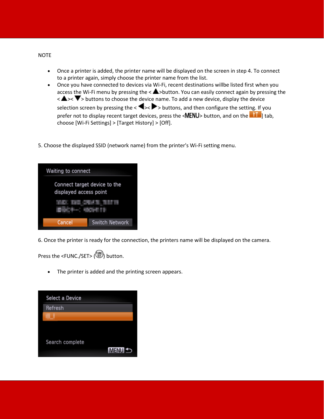- Once a printer is added, the printer name will be displayed on the screen in step 4. To connect to a printer again, simply choose the printer name from the list.
- Once you have connected to devices via Wi-Fi, recent destinations willbe listed first when you access the Wi-Fi menu by pressing the  $\langle \blacktriangle \rangle$ button. You can easily connect again by pressing the  $\langle \blacktriangle \rangle$  > buttons to choose the device name. To add a new device, display the device selection screen by pressing the  $\langle \blacklozenge, \blacktriangleright \rangle$  buttons, and then configure the setting. If you prefer not to display recent target devices, press the  $\langle \text{MENU} \rangle$  button, and on the  $\langle \text{M} \rangle$  tab, choose [Wi-Fi Settings] > [Target History] > [Off].
- 5. Choose the displayed SSID (network name) from the printer's Wi-Fi setting menu.

| Waiting to connect                                     |                       |  |  |  |
|--------------------------------------------------------|-----------------------|--|--|--|
| Connect target device to the<br>displayed access point |                       |  |  |  |
|                                                        |                       |  |  |  |
| Cancel                                                 | <b>Switch Network</b> |  |  |  |

6. Once the printer is ready for the connection, the printers name will be displayed on the camera.

Press the <FUNC./SET> ( ) button.

• The printer is added and the printing screen appears.

| Select a Device |                   |
|-----------------|-------------------|
| Refresh         |                   |
|                 |                   |
|                 |                   |
| Search complete |                   |
|                 | MENU <sup>1</sup> |

## NOTE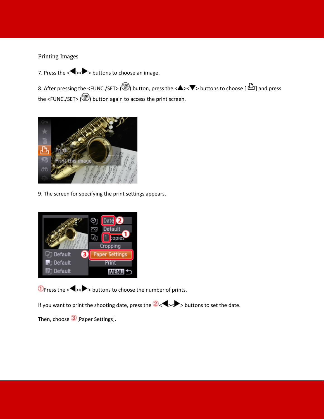## Printing Images

7. Press the  $\langle \blacklozenge \rangle$  > buttons to choose an image.

8. After pressing the <FUNC./SET> ( $\bigcirc$ ) button, press the < $\blacktriangle$ >< $\blacktriangledown$ > buttons to choose [ $\bigcirc$ ] and press the <FUNC./SET> (( $\bigcirc$ ) button again to access the print screen.



9. The screen for specifying the print settings appears.



 $\Phi$ Press the < $\blacktriangleright$  > buttons to choose the number of prints.

If you want to print the shooting date, press the  $2$  <  $\blacktriangleright$  > buttons to set the date.

Then, choose 3 [Paper Settings].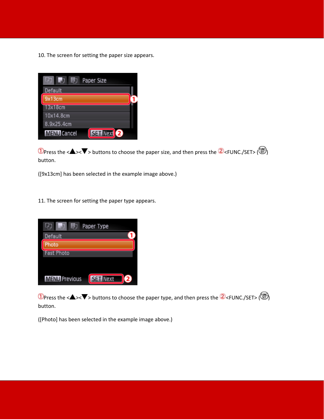10. The screen for setting the paper size appears.



**1** Press the < $\blacktriangle$ >< $\blacktriangledown$  buttons to choose the paper size, and then press the  $\blacktriangle$  <FUNC./SET> ( $\binom{10}{10}$ ) button.

([9x13cm] has been selected in the example image above.)

11. The screen for setting the paper type appears.



**1** Press the < $\blacktriangle$ >< $\blacktriangledown$  buttons to choose the paper type, and then press the  $\blacktriangle$  <FUNC./SET> ( $\binom{m}{2}$ ) button.

([Photo] has been selected in the example image above.)